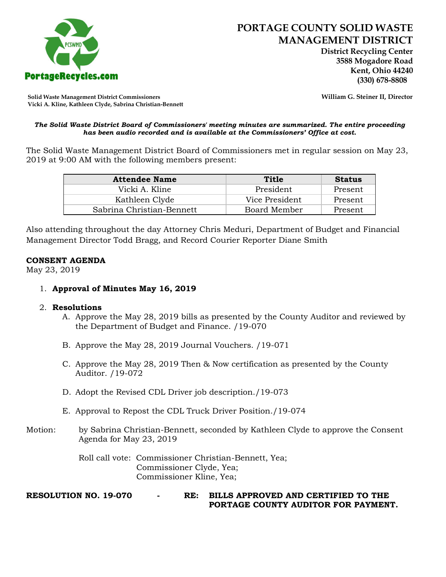

 **District Recycling Center 3588 Mogadore Road Kent, Ohio 44240**

**Solid Waste Management District Commissioners William G. Steiner II, Director Vicki A. Kline, Kathleen Clyde, Sabrina Christian-Bennett** 

#### *The Solid Waste District Board of Commissioners' meeting minutes are summarized. The entire proceeding has been audio recorded and is available at the Commissioners' Office at cost.*

The Solid Waste Management District Board of Commissioners met in regular session on May 23, 2019 at 9:00 AM with the following members present:

| <b>Attendee Name</b>      | Title          | <b>Status</b> |
|---------------------------|----------------|---------------|
| Vicki A. Kline            | President      | Present       |
| Kathleen Clyde            | Vice President | Present       |
| Sabrina Christian-Bennett | Board Member   | Present       |

Also attending throughout the day Attorney Chris Meduri, Department of Budget and Financial Management Director Todd Bragg, and Record Courier Reporter Diane Smith

# **CONSENT AGENDA**

May 23, 2019

1. **Approval of Minutes May 16, 2019**

#### 2. **Resolutions**

- A. Approve the May 28, 2019 bills as presented by the County Auditor and reviewed by the Department of Budget and Finance. /19-070
- B. Approve the May 28, 2019 Journal Vouchers. /19-071
- C. Approve the May 28, 2019 Then & Now certification as presented by the County Auditor. /19-072
- D. Adopt the Revised CDL Driver job description./19-073
- E. Approval to Repost the CDL Truck Driver Position./19-074
- Motion: by Sabrina Christian-Bennett, seconded by Kathleen Clyde to approve the Consent Agenda for May 23, 2019

Roll call vote: Commissioner Christian-Bennett, Yea; Commissioner Clyde, Yea; Commissioner Kline, Yea;

**RESOLUTION NO. 19-070 - RE: BILLS APPROVED AND CERTIFIED TO THE PORTAGE COUNTY AUDITOR FOR PAYMENT.**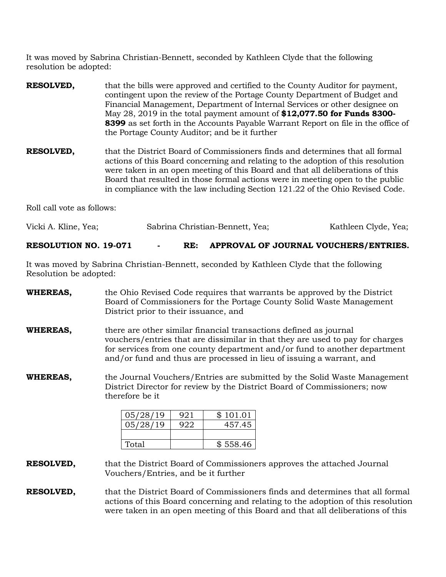It was moved by Sabrina Christian-Bennett, seconded by Kathleen Clyde that the following resolution be adopted:

- **RESOLVED,** that the bills were approved and certified to the County Auditor for payment, contingent upon the review of the Portage County Department of Budget and Financial Management, Department of Internal Services or other designee on May 28, 2019 in the total payment amount of **\$12,077.50 for Funds 8300- 8399** as set forth in the Accounts Payable Warrant Report on file in the office of the Portage County Auditor; and be it further
- **RESOLVED,** that the District Board of Commissioners finds and determines that all formal actions of this Board concerning and relating to the adoption of this resolution were taken in an open meeting of this Board and that all deliberations of this Board that resulted in those formal actions were in meeting open to the public in compliance with the law including Section 121.22 of the Ohio Revised Code.

Roll call vote as follows:

| Vicki A. Kline, Yea; | Sabrina Christian-Bennett, Yea; | Kathleen Clyde, Yea; |
|----------------------|---------------------------------|----------------------|
|                      |                                 |                      |

#### **RESOLUTION NO. 19-071 - RE: APPROVAL OF JOURNAL VOUCHERS/ENTRIES.**

It was moved by Sabrina Christian-Bennett, seconded by Kathleen Clyde that the following Resolution be adopted:

**WHEREAS,** the Ohio Revised Code requires that warrants be approved by the District Board of Commissioners for the Portage County Solid Waste Management District prior to their issuance, and **WHEREAS,** there are other similar financial transactions defined as journal vouchers/entries that are dissimilar in that they are used to pay for charges for services from one county department and/or fund to another department and/or fund and thus are processed in lieu of issuing a warrant, and **WHEREAS,** the Journal Vouchers/Entries are submitted by the Solid Waste Management District Director for review by the District Board of Commissioners; now therefore be it  $05/28/19$  | 921 | \$101.01 05/28/19 922 457.45

**RESOLVED,** that the District Board of Commissioners approves the attached Journal Vouchers/Entries, and be it further

Total | \$558.46

**RESOLVED,** that the District Board of Commissioners finds and determines that all formal actions of this Board concerning and relating to the adoption of this resolution were taken in an open meeting of this Board and that all deliberations of this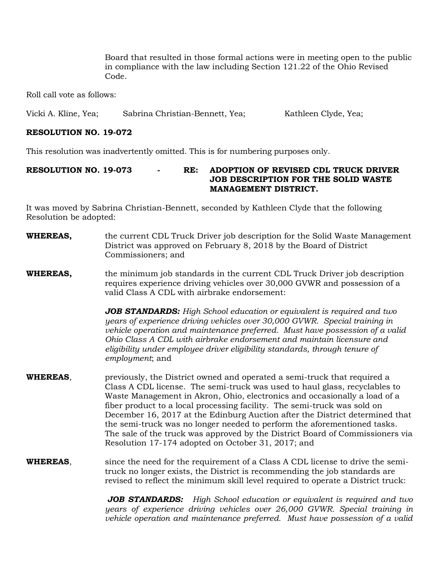Board that resulted in those formal actions were in meeting open to the public in compliance with the law including Section 121.22 of the Ohio Revised Code.

Roll call vote as follows:

Vicki A. Kline, Yea; Sabrina Christian-Bennett, Yea; Kathleen Clyde, Yea;

# **RESOLUTION NO. 19-072**

This resolution was inadvertently omitted. This is for numbering purposes only.

# **RESOLUTION NO. 19-073 - RE: ADOPTION OF REVISED CDL TRUCK DRIVER JOB DESCRIPTION FOR THE SOLID WASTE MANAGEMENT DISTRICT.**

It was moved by Sabrina Christian-Bennett, seconded by Kathleen Clyde that the following Resolution be adopted:

- **WHEREAS,** the current CDL Truck Driver job description for the Solid Waste Management District was approved on February 8, 2018 by the Board of District Commissioners; and
- **WHEREAS,** the minimum job standards in the current CDL Truck Driver job description requires experience driving vehicles over 30,000 GVWR and possession of a valid Class A CDL with airbrake endorsement:

*JOB STANDARDS: High School education or equivalent is required and two years of experience driving vehicles over 30,000 GVWR. Special training in vehicle operation and maintenance preferred. Must have possession of a valid Ohio Class A CDL with airbrake endorsement and maintain licensure and eligibility under employee driver eligibility standards, through tenure of employment*; and

- **WHEREAS**, previously, the District owned and operated a semi-truck that required a Class A CDL license. The semi-truck was used to haul glass, recyclables to Waste Management in Akron, Ohio, electronics and occasionally a load of a fiber product to a local processing facility. The semi-truck was sold on December 16, 2017 at the Edinburg Auction after the District determined that the semi-truck was no longer needed to perform the aforementioned tasks. The sale of the truck was approved by the District Board of Commissioners via Resolution 17-174 adopted on October 31, 2017; and
- **WHEREAS**, since the need for the requirement of a Class A CDL license to drive the semitruck no longer exists, the District is recommending the job standards are revised to reflect the minimum skill level required to operate a District truck:

*JOB STANDARDS: High School education or equivalent is required and two years of experience driving vehicles over 26,000 GVWR. Special training in vehicle operation and maintenance preferred. Must have possession of a valid*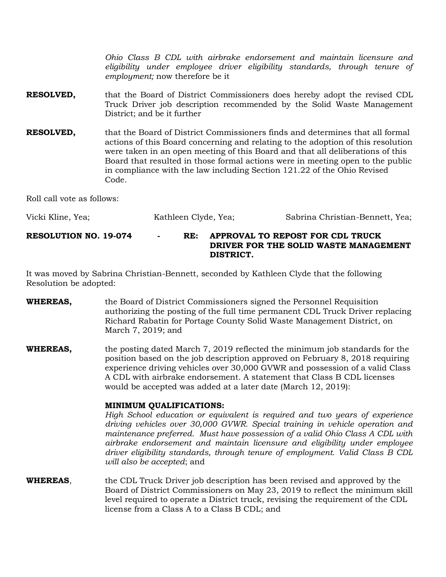*Ohio Class B CDL with airbrake endorsement and maintain licensure and eligibility under employee driver eligibility standards, through tenure of employment;* now therefore be it

- **RESOLVED,** that the Board of District Commissioners does hereby adopt the revised CDL Truck Driver job description recommended by the Solid Waste Management District; and be it further
- **RESOLVED,** that the Board of District Commissioners finds and determines that all formal actions of this Board concerning and relating to the adoption of this resolution were taken in an open meeting of this Board and that all deliberations of this Board that resulted in those formal actions were in meeting open to the public in compliance with the law including Section 121.22 of the Ohio Revised Code.

Roll call vote as follows:

| Vicki Kline, Yea;            | Kathleen Clyde, Yea; |     | Sabrina Christian-Bennett, Yea;                                                        |
|------------------------------|----------------------|-----|----------------------------------------------------------------------------------------|
| <b>RESOLUTION NO. 19-074</b> | $\blacksquare$       | RE: | APPROVAL TO REPOST FOR CDL TRUCK<br>DRIVER FOR THE SOLID WASTE MANAGEMENT<br>DISTRICT. |

It was moved by Sabrina Christian-Bennett, seconded by Kathleen Clyde that the following Resolution be adopted:

- **WHEREAS,** the Board of District Commissioners signed the Personnel Requisition authorizing the posting of the full time permanent CDL Truck Driver replacing Richard Rabatin for Portage County Solid Waste Management District, on March 7, 2019; and
- **WHEREAS,** the posting dated March 7, 2019 reflected the minimum job standards for the position based on the job description approved on February 8, 2018 requiring experience driving vehicles over 30,000 GVWR and possession of a valid Class A CDL with airbrake endorsement. A statement that Class B CDL licenses would be accepted was added at a later date (March 12, 2019):

#### **MINIMUM QUALIFICATIONS:**

*High School education or equivalent is required and two years of experience driving vehicles over 30,000 GVWR. Special training in vehicle operation and maintenance preferred. Must have possession of a valid Ohio Class A CDL with airbrake endorsement and maintain licensure and eligibility under employee driver eligibility standards, through tenure of employment. Valid Class B CDL will also be accepted*; and

**WHEREAS**, the CDL Truck Driver job description has been revised and approved by the Board of District Commissioners on May 23, 2019 to reflect the minimum skill level required to operate a District truck, revising the requirement of the CDL license from a Class A to a Class B CDL; and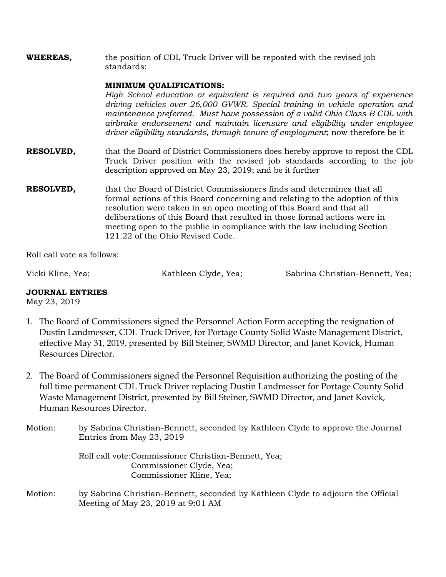**WHEREAS,** the position of CDL Truck Driver will be reposted with the revised job standards:

# **MINIMUM QUALIFICATIONS:**

*High School education or equivalent is required and two years of experience driving vehicles over 26,000 GVWR. Special training in vehicle operation and maintenance preferred. Must have possession of a valid Ohio Class B CDL with airbrake endorsement and maintain licensure and eligibility under employee driver eligibility standards, through tenure of employment*; now therefore be it

- **RESOLVED,** that the Board of District Commissioners does hereby approve to repost the CDL Truck Driver position with the revised job standards according to the job description approved on May 23, 2019; and be it further
- **RESOLVED,** that the Board of District Commissioners finds and determines that all formal actions of this Board concerning and relating to the adoption of this resolution were taken in an open meeting of this Board and that all deliberations of this Board that resulted in those formal actions were in meeting open to the public in compliance with the law including Section 121.22 of the Ohio Revised Code.

Roll call vote as follows:

Vicki Kline, Yea; The Kathleen Clyde, Yea; Sabrina Christian-Bennett, Yea;

# **JOURNAL ENTRIES**

May 23, 2019

- 1. The Board of Commissioners signed the Personnel Action Form accepting the resignation of Dustin Landmesser, CDL Truck Driver, for Portage County Solid Waste Management District, effective May 31, 2019, presented by Bill Steiner, SWMD Director, and Janet Kovick, Human Resources Director.
- 2. The Board of Commissioners signed the Personnel Requisition authorizing the posting of the full time permanent CDL Truck Driver replacing Dustin Landmesser for Portage County Solid Waste Management District, presented by Bill Steiner, SWMD Director, and Janet Kovick, Human Resources Director.
- Motion: by Sabrina Christian-Bennett, seconded by Kathleen Clyde to approve the Journal Entries from May 23, 2019

Roll call vote:Commissioner Christian-Bennett, Yea; Commissioner Clyde, Yea; Commissioner Kline, Yea;

Motion: by Sabrina Christian-Bennett, seconded by Kathleen Clyde to adjourn the Official Meeting of May 23, 2019 at 9:01 AM